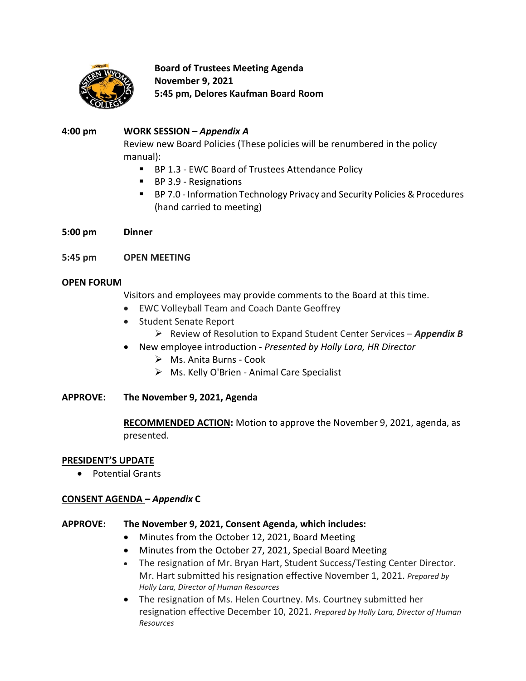

**Board of Trustees Meeting Agenda November 9, 2021 5:45 pm, Delores Kaufman Board Room**

## **4:00 pm WORK SESSION –** *Appendix A*

Review new Board Policies (These policies will be renumbered in the policy manual):

- BP 1.3 EWC Board of Trustees Attendance Policy
- BP 3.9 Resignations
- BP 7.0 Information Technology Privacy and Security Policies & Procedures (hand carried to meeting)
- **5:00 pm Dinner**
- **5:45 pm OPEN MEETING**

## **OPEN FORUM**

Visitors and employees may provide comments to the Board at this time.

- EWC Volleyball Team and Coach Dante Geoffrey
- Student Senate Report
	- Review of Resolution to Expand Student Center Services *Appendix B*
- New employee introduction *Presented by Holly Lara, HR Director*
	- Ms. Anita Burns Cook
	- Ms. Kelly O'Brien Animal Care Specialist
- **APPROVE: The November 9, 2021, Agenda**

**RECOMMENDED ACTION:** Motion to approve the November 9, 2021, agenda, as presented.

## **PRESIDENT'S UPDATE**

Potential Grants

# **CONSENT AGENDA** *– Appendix* **C**

## **APPROVE: The November 9, 2021, Consent Agenda, which includes:**

- Minutes from the October 12, 2021, Board Meeting
- Minutes from the October 27, 2021, Special Board Meeting
- The resignation of Mr. Bryan Hart, Student Success/Testing Center Director. Mr. Hart submitted his resignation effective November 1, 2021. *Prepared by Holly Lara, Director of Human Resources*
- The resignation of Ms. Helen Courtney. Ms. Courtney submitted her resignation effective December 10, 2021. *Prepared by Holly Lara, Director of Human Resources*